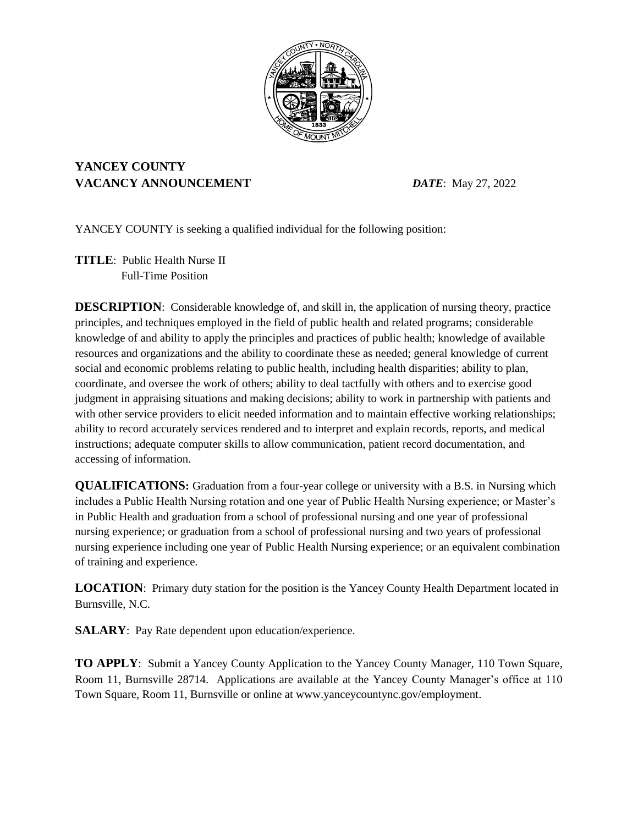

## **YANCEY COUNTY VACANCY ANNOUNCEMENT** *DATE*: May 27, 2022

YANCEY COUNTY is seeking a qualified individual for the following position:

**TITLE**: Public Health Nurse II Full-Time Position

**DESCRIPTION**: Considerable knowledge of, and skill in, the application of nursing theory, practice principles, and techniques employed in the field of public health and related programs; considerable knowledge of and ability to apply the principles and practices of public health; knowledge of available resources and organizations and the ability to coordinate these as needed; general knowledge of current social and economic problems relating to public health, including health disparities; ability to plan, coordinate, and oversee the work of others; ability to deal tactfully with others and to exercise good judgment in appraising situations and making decisions; ability to work in partnership with patients and with other service providers to elicit needed information and to maintain effective working relationships; ability to record accurately services rendered and to interpret and explain records, reports, and medical instructions; adequate computer skills to allow communication, patient record documentation, and accessing of information.

**QUALIFICATIONS:** Graduation from a four-year college or university with a B.S. in Nursing which includes a Public Health Nursing rotation and one year of Public Health Nursing experience; or Master's in Public Health and graduation from a school of professional nursing and one year of professional nursing experience; or graduation from a school of professional nursing and two years of professional nursing experience including one year of Public Health Nursing experience; or an equivalent combination of training and experience.

**LOCATION**: Primary duty station for the position is the Yancey County Health Department located in Burnsville, N.C.

**SALARY**: Pay Rate dependent upon education/experience.

**TO APPLY**: Submit a Yancey County Application to the Yancey County Manager, 110 Town Square, Room 11, Burnsville 28714. Applications are available at the Yancey County Manager's office at 110 Town Square, Room 11, Burnsville or online at www.yanceycountync.gov/employment.